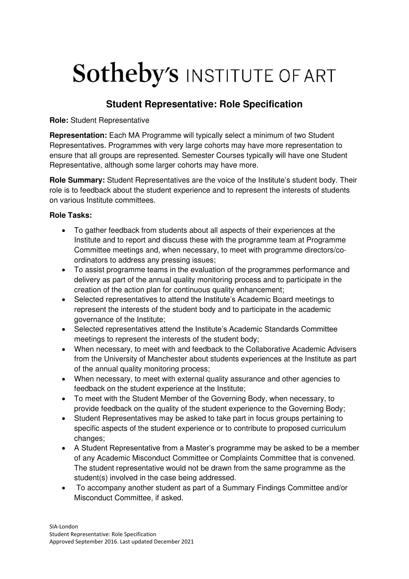## **Sotheby's INSTITUTE OF ART**

## **Student Representative: Role Specification**

**Role:** Student Representative

**Representation:** Each MA Programme will typically select a minimum of two Student Representatives. Programmes with very large cohorts may have more representation to ensure that all groups are represented. Semester Courses typically will have one Student Representative, although some larger cohorts may have more.

**Role Summary:** Student Representatives are the voice of the Institute's student body. Their role is to feedback about the student experience and to represent the interests of students on various Institute committees.

## **Role Tasks:**

- To gather feedback from students about all aspects of their experiences at the Institute and to report and discuss these with the programme team at Programme Committee meetings and, when necessary, to meet with programme directors/coordinators to address any pressing issues;
- To assist programme teams in the evaluation of the programmes performance and delivery as part of the annual quality monitoring process and to participate in the creation of the action plan for continuous quality enhancement;
- Selected representatives to attend the Institute's Academic Board meetings to represent the interests of the student body and to participate in the academic governance of the Institute;
- Selected representatives attend the Institute's Academic Standards Committee meetings to represent the interests of the student body;
- When necessary, to meet with and feedback to the Collaborative Academic Advisers from the University of Manchester about students experiences at the Institute as part of the annual quality monitoring process;
- When necessary, to meet with external quality assurance and other agencies to feedback on the student experience at the Institute;
- To meet with the Student Member of the Governing Body, when necessary, to provide feedback on the quality of the student experience to the Governing Body;
- Student Representatives may be asked to take part in focus groups pertaining to specific aspects of the student experience or to contribute to proposed curriculum changes;
- A Student Representative from a Master's programme may be asked to be a member of any Academic Misconduct Committee or Complaints Committee that is convened. The student representative would not be drawn from the same programme as the student(s) involved in the case being addressed.
- To accompany another student as part of a Summary Findings Committee and/or Misconduct Committee, if asked.